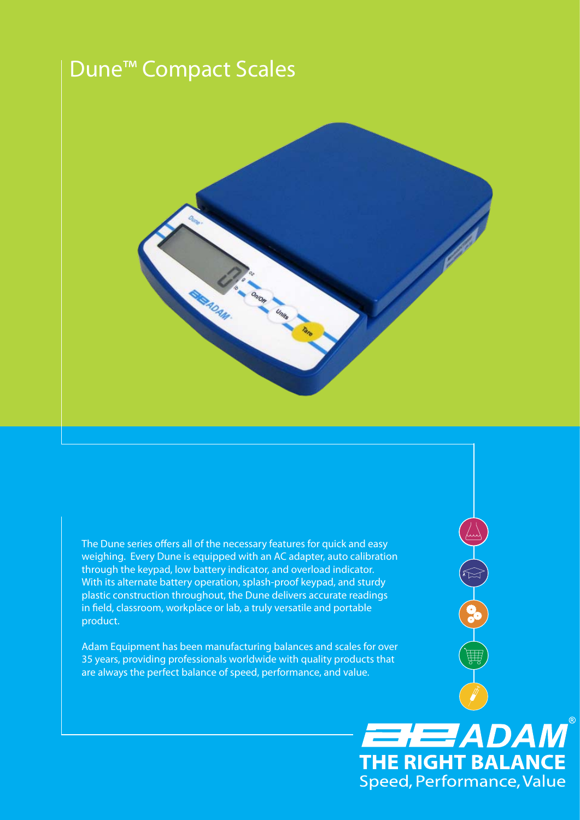# Dune™ Compact Scales



The Dune series offers all of the necessary features for quick and easy weighing. Every Dune is equipped with an AC adapter, auto calibration through the keypad, low battery indicator, and overload indicator. With its alternate battery operation, splash-proof keypad, and sturdy plastic construction throughout, the Dune delivers accurate readings in field, classroom, workplace or lab, a truly versatile and portable product.

OCT CO

**EHEE ADAM** 

**THE RIGHT BALANCE** Speed, Performance, Value

Adam Equipment has been manufacturing balances and scales for over 35 years, providing professionals worldwide with quality products that are always the perfect balance of speed, performance, and value.